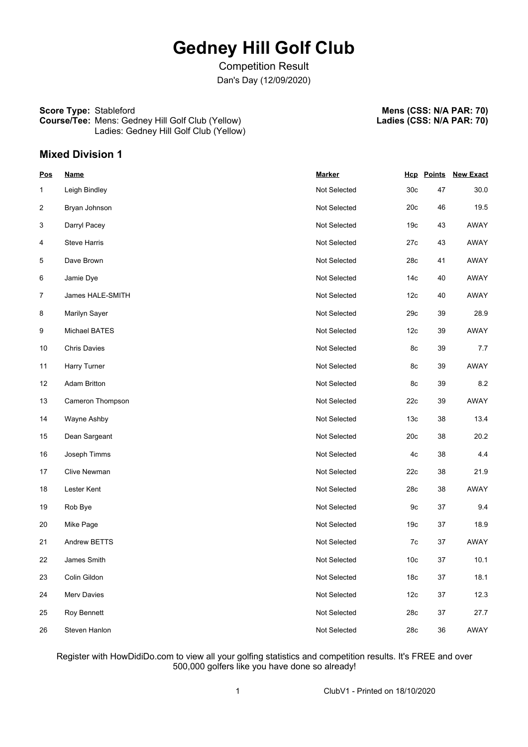# **Gedney Hill Golf Club**

Competition Result Dan's Day (12/09/2020)

#### **Score Type:** Stableford **Course/Tee:** Mens: Gedney Hill Golf Club (Yellow) Ladies: Gedney Hill Golf Club (Yellow)

**Mens (CSS: N/A PAR: 70) Ladies (CSS: N/A PAR: 70)**

**Mixed Division 1**

| <u>Pos</u>     | <b>Name</b>         | <b>Marker</b> |                 |        | <b>Hcp Points New Exact</b> |
|----------------|---------------------|---------------|-----------------|--------|-----------------------------|
| 1              | Leigh Bindley       | Not Selected  | 30 <sub>c</sub> | 47     | 30.0                        |
| $\overline{c}$ | Bryan Johnson       | Not Selected  | 20c             | 46     | 19.5                        |
| 3              | Darryl Pacey        | Not Selected  | 19 <sub>c</sub> | 43     | AWAY                        |
| 4              | <b>Steve Harris</b> | Not Selected  | 27c             | 43     | AWAY                        |
| 5              | Dave Brown          | Not Selected  | 28c             | 41     | AWAY                        |
| 6              | Jamie Dye           | Not Selected  | 14 <sub>c</sub> | 40     | <b>AWAY</b>                 |
| $\overline{7}$ | James HALE-SMITH    | Not Selected  | 12 <sub>c</sub> | 40     | AWAY                        |
| 8              | Marilyn Sayer       | Not Selected  | 29c             | 39     | 28.9                        |
| 9              | Michael BATES       | Not Selected  | 12 <sub>c</sub> | 39     | AWAY                        |
| 10             | <b>Chris Davies</b> | Not Selected  | 8c              | 39     | 7.7                         |
| 11             | Harry Turner        | Not Selected  | 8c              | 39     | AWAY                        |
| 12             | <b>Adam Britton</b> | Not Selected  | 8c              | 39     | 8.2                         |
| 13             | Cameron Thompson    | Not Selected  | 22c             | 39     | AWAY                        |
| 14             | Wayne Ashby         | Not Selected  | 13 <sub>c</sub> | 38     | 13.4                        |
| 15             | Dean Sargeant       | Not Selected  | 20c             | 38     | 20.2                        |
| 16             | Joseph Timms        | Not Selected  | 4c              | 38     | 4.4                         |
| 17             | Clive Newman        | Not Selected  | 22c             | 38     | 21.9                        |
| 18             | Lester Kent         | Not Selected  | 28c             | 38     | AWAY                        |
| 19             | Rob Bye             | Not Selected  | 9c              | 37     | 9.4                         |
| 20             | Mike Page           | Not Selected  | 19 <sub>c</sub> | 37     | 18.9                        |
| 21             | Andrew BETTS        | Not Selected  | 7c              | 37     | AWAY                        |
| 22             | James Smith         | Not Selected  | 10 <sub>c</sub> | 37     | 10.1                        |
| 23             | Colin Gildon        | Not Selected  | 18 <sub>c</sub> | $37\,$ | 18.1                        |
| 24             | Merv Davies         | Not Selected  | 12 <sub>c</sub> | $37\,$ | 12.3                        |
| 25             | Roy Bennett         | Not Selected  | 28c             | $37\,$ | 27.7                        |
| 26             | Steven Hanlon       | Not Selected  | 28c             | $36\,$ | AWAY                        |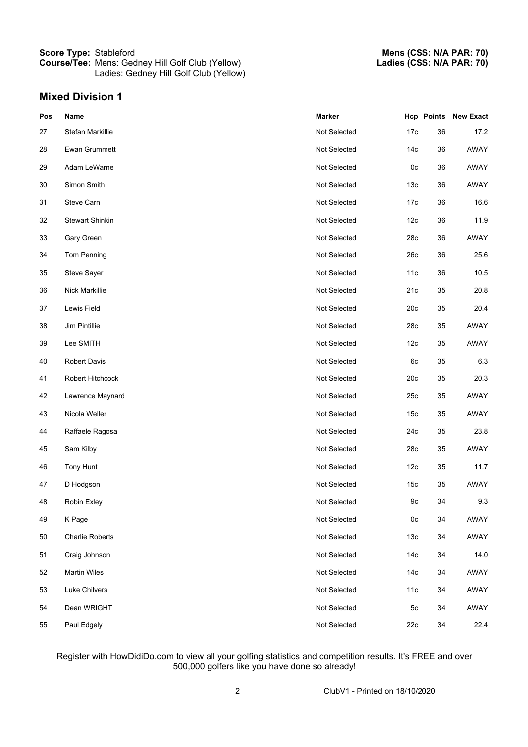# **Mixed Division 1**

| <b>Pos</b> | <b>Name</b>            | <b>Marker</b> |                 | <b>Hcp</b> Points | <b>New Exact</b> |
|------------|------------------------|---------------|-----------------|-------------------|------------------|
| 27         | Stefan Markillie       | Not Selected  | 17 <sub>c</sub> | 36                | 17.2             |
| 28         | Ewan Grummett          | Not Selected  | 14c             | 36                | AWAY             |
| 29         | Adam LeWarne           | Not Selected  | 0 <sub>c</sub>  | 36                | AWAY             |
| 30         | Simon Smith            | Not Selected  | 13 <sub>c</sub> | 36                | AWAY             |
| 31         | Steve Carn             | Not Selected  | 17c             | 36                | 16.6             |
| 32         | <b>Stewart Shinkin</b> | Not Selected  | 12 <sub>c</sub> | 36                | 11.9             |
| 33         | Gary Green             | Not Selected  | 28c             | 36                | AWAY             |
| 34         | Tom Penning            | Not Selected  | 26c             | 36                | 25.6             |
| 35         | Steve Sayer            | Not Selected  | 11c             | 36                | 10.5             |
| 36         | Nick Markillie         | Not Selected  | 21c             | 35                | 20.8             |
| 37         | Lewis Field            | Not Selected  | 20c             | 35                | 20.4             |
| 38         | Jim Pintillie          | Not Selected  | 28c             | 35                | AWAY             |
| 39         | Lee SMITH              | Not Selected  | 12 <sub>c</sub> | 35                | AWAY             |
| 40         | <b>Robert Davis</b>    | Not Selected  | 6c              | 35                | 6.3              |
| 41         | Robert Hitchcock       | Not Selected  | 20c             | 35                | 20.3             |
| 42         | Lawrence Maynard       | Not Selected  | 25c             | 35                | AWAY             |
| 43         | Nicola Weller          | Not Selected  | 15 <sub>c</sub> | 35                | AWAY             |
| 44         | Raffaele Ragosa        | Not Selected  | 24c             | 35                | 23.8             |
| 45         | Sam Kilby              | Not Selected  | 28c             | 35                | AWAY             |
| 46         | Tony Hunt              | Not Selected  | 12 <sub>c</sub> | 35                | 11.7             |
| 47         | D Hodgson              | Not Selected  | 15 <sub>c</sub> | 35                | AWAY             |
| 48         | Robin Exley            | Not Selected  | 9c              | 34                | 9.3              |
| 49         | K Page                 | Not Selected  | 0 <sub>c</sub>  | 34                | AWAY             |
| 50         | <b>Charlie Roberts</b> | Not Selected  | 13 <sub>c</sub> | 34                | AWAY             |
| 51         | Craig Johnson          | Not Selected  | 14 <sub>c</sub> | 34                | 14.0             |
| 52         | <b>Martin Wiles</b>    | Not Selected  | 14 <sub>c</sub> | 34                | AWAY             |
| 53         | Luke Chilvers          | Not Selected  | 11c             | 34                | AWAY             |
| 54         | Dean WRIGHT            | Not Selected  | 5c              | 34                | AWAY             |
| 55         | Paul Edgely            | Not Selected  | 22c             | 34                | 22.4             |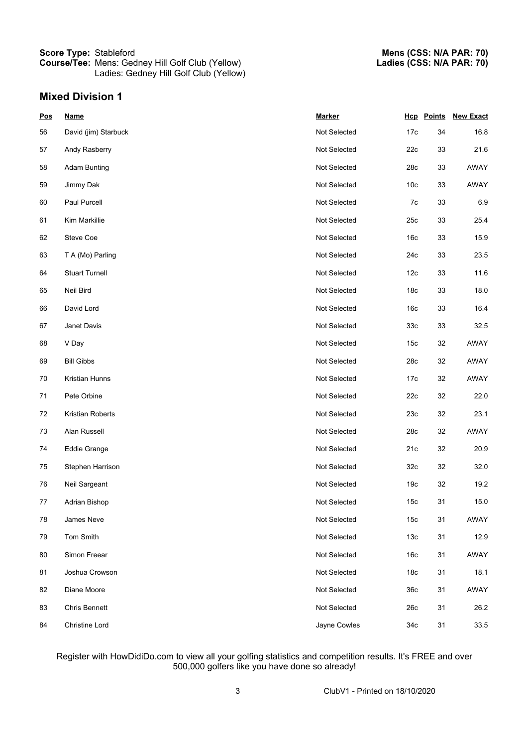# **Mixed Division 1**

| <b>Pos</b> | <b>Name</b>           | <b>Marker</b> |                 | <b>Hcp</b> Points | <b>New Exact</b> |
|------------|-----------------------|---------------|-----------------|-------------------|------------------|
| 56         | David (jim) Starbuck  | Not Selected  | 17c             | 34                | 16.8             |
| 57         | Andy Rasberry         | Not Selected  | 22c             | 33                | 21.6             |
| 58         | <b>Adam Bunting</b>   | Not Selected  | 28c             | 33                | AWAY             |
| 59         | Jimmy Dak             | Not Selected  | 10 <sub>c</sub> | 33                | AWAY             |
| 60         | Paul Purcell          | Not Selected  | 7c              | 33                | 6.9              |
| 61         | Kim Markillie         | Not Selected  | 25c             | 33                | 25.4             |
| 62         | Steve Coe             | Not Selected  | 16 <sub>c</sub> | 33                | 15.9             |
| 63         | T A (Mo) Parling      | Not Selected  | 24c             | 33                | 23.5             |
| 64         | <b>Stuart Turnell</b> | Not Selected  | 12 <sub>c</sub> | 33                | 11.6             |
| 65         | Neil Bird             | Not Selected  | 18 <sub>c</sub> | 33                | 18.0             |
| 66         | David Lord            | Not Selected  | 16 <sub>c</sub> | 33                | 16.4             |
| 67         | Janet Davis           | Not Selected  | 33 <sub>c</sub> | 33                | 32.5             |
| 68         | V Day                 | Not Selected  | 15 <sub>c</sub> | 32                | AWAY             |
| 69         | <b>Bill Gibbs</b>     | Not Selected  | 28c             | 32                | AWAY             |
| 70         | Kristian Hunns        | Not Selected  | 17c             | 32                | AWAY             |
| 71         | Pete Orbine           | Not Selected  | 22c             | 32                | 22.0             |
| 72         | Kristian Roberts      | Not Selected  | 23c             | 32                | 23.1             |
| 73         | Alan Russell          | Not Selected  | 28c             | 32                | AWAY             |
| 74         | Eddie Grange          | Not Selected  | 21c             | 32                | 20.9             |
| 75         | Stephen Harrison      | Not Selected  | 32 <sub>c</sub> | 32                | 32.0             |
| 76         | Neil Sargeant         | Not Selected  | 19 <sub>c</sub> | 32                | 19.2             |
| 77         | Adrian Bishop         | Not Selected  | 15 <sub>c</sub> | 31                | 15.0             |
| 78         | James Neve            | Not Selected  | 15 <sub>c</sub> | 31                | AWAY             |
| 79         | Tom Smith             | Not Selected  | 13 <sub>c</sub> | 31                | 12.9             |
| 80         | Simon Freear          | Not Selected  | 16c             | 31                | AWAY             |
| 81         | Joshua Crowson        | Not Selected  | 18 <sub>c</sub> | 31                | 18.1             |
| 82         | Diane Moore           | Not Selected  | 36c             | 31                | AWAY             |
| 83         | <b>Chris Bennett</b>  | Not Selected  | 26c             | 31                | 26.2             |
| 84         | <b>Christine Lord</b> | Jayne Cowles  | 34c             | 31                | 33.5             |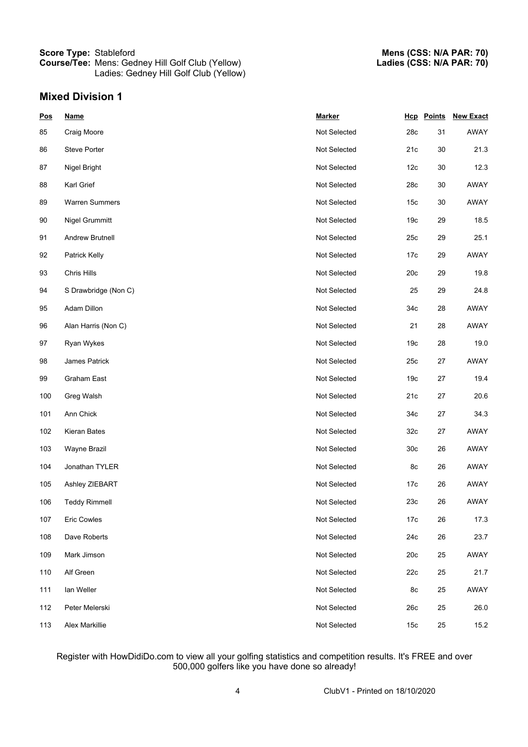# **Mixed Division 1**

| <b>Pos</b> | <b>Name</b>           | <b>Marker</b> |                 | <b>Hcp</b> Points | <b>New Exact</b> |
|------------|-----------------------|---------------|-----------------|-------------------|------------------|
| 85         | Craig Moore           | Not Selected  | 28c             | 31                | AWAY             |
| 86         | <b>Steve Porter</b>   | Not Selected  | 21c             | 30                | 21.3             |
| 87         | Nigel Bright          | Not Selected  | 12 <sub>c</sub> | 30                | 12.3             |
| 88         | Karl Grief            | Not Selected  | 28c             | 30                | AWAY             |
| 89         | <b>Warren Summers</b> | Not Selected  | 15 <sub>c</sub> | 30                | AWAY             |
| 90         | Nigel Grummitt        | Not Selected  | 19 <sub>c</sub> | 29                | 18.5             |
| 91         | Andrew Brutnell       | Not Selected  | 25c             | 29                | 25.1             |
| 92         | Patrick Kelly         | Not Selected  | 17c             | 29                | AWAY             |
| 93         | Chris Hills           | Not Selected  | 20c             | 29                | 19.8             |
| 94         | S Drawbridge (Non C)  | Not Selected  | 25              | 29                | 24.8             |
| 95         | Adam Dillon           | Not Selected  | 34c             | 28                | AWAY             |
| 96         | Alan Harris (Non C)   | Not Selected  | 21              | 28                | AWAY             |
| 97         | Ryan Wykes            | Not Selected  | 19 <sub>c</sub> | 28                | 19.0             |
| 98         | James Patrick         | Not Selected  | 25c             | 27                | AWAY             |
| 99         | Graham East           | Not Selected  | 19 <sub>c</sub> | 27                | 19.4             |
| 100        | Greg Walsh            | Not Selected  | 21c             | 27                | 20.6             |
| 101        | Ann Chick             | Not Selected  | 34c             | 27                | 34.3             |
| 102        | Kieran Bates          | Not Selected  | 32 <sub>c</sub> | 27                | AWAY             |
| 103        | Wayne Brazil          | Not Selected  | 30 <sub>c</sub> | 26                | AWAY             |
| 104        | Jonathan TYLER        | Not Selected  | 8c              | 26                | AWAY             |
| 105        | Ashley ZIEBART        | Not Selected  | 17c             | 26                | AWAY             |
| 106        | <b>Teddy Rimmell</b>  | Not Selected  | 23c             | 26                | AWAY             |
| 107        | <b>Eric Cowles</b>    | Not Selected  | 17c             | $26\,$            | 17.3             |
| 108        | Dave Roberts          | Not Selected  | 24c             | 26                | 23.7             |
| 109        | Mark Jimson           | Not Selected  | 20c             | 25                | AWAY             |
| 110        | Alf Green             | Not Selected  | 22c             | 25                | 21.7             |
| 111        | lan Weller            | Not Selected  | 8c              | 25                | AWAY             |
| 112        | Peter Melerski        | Not Selected  | 26c             | 25                | 26.0             |
| 113        | Alex Markillie        | Not Selected  | 15 <sub>c</sub> | 25                | 15.2             |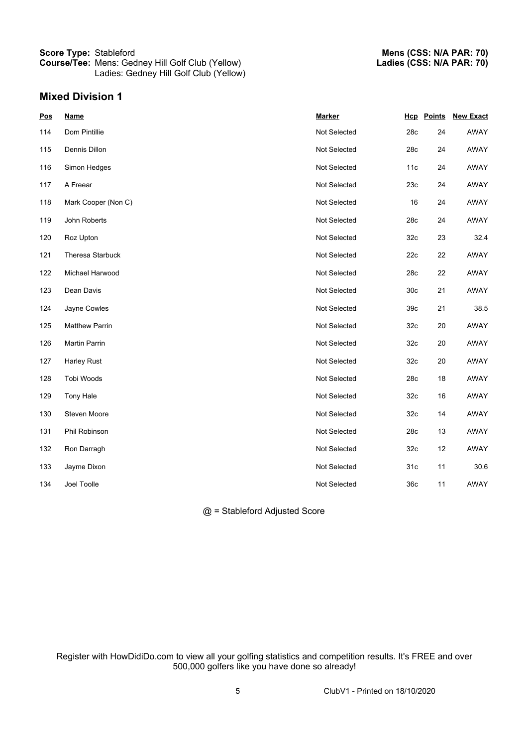## **Mixed Division 1**

| Pos | <b>Name</b>           | <b>Marker</b> |                 | <b>Hcp</b> Points | <b>New Exact</b> |
|-----|-----------------------|---------------|-----------------|-------------------|------------------|
| 114 | Dom Pintillie         | Not Selected  | 28c             | 24                | AWAY             |
| 115 | Dennis Dillon         | Not Selected  | 28c             | 24                | AWAY             |
| 116 | Simon Hedges          | Not Selected  | 11c             | 24                | AWAY             |
| 117 | A Freear              | Not Selected  | 23c             | 24                | AWAY             |
| 118 | Mark Cooper (Non C)   | Not Selected  | 16              | 24                | AWAY             |
| 119 | John Roberts          | Not Selected  | 28c             | 24                | AWAY             |
| 120 | Roz Upton             | Not Selected  | 32 <sub>c</sub> | 23                | 32.4             |
| 121 | Theresa Starbuck      | Not Selected  | 22c             | 22                | <b>AWAY</b>      |
| 122 | Michael Harwood       | Not Selected  | 28c             | 22                | AWAY             |
| 123 | Dean Davis            | Not Selected  | 30 <sub>c</sub> | 21                | AWAY             |
| 124 | Jayne Cowles          | Not Selected  | 39 <sub>c</sub> | 21                | 38.5             |
| 125 | <b>Matthew Parrin</b> | Not Selected  | 32 <sub>c</sub> | 20                | <b>AWAY</b>      |
| 126 | Martin Parrin         | Not Selected  | 32 <sub>c</sub> | 20                | AWAY             |
| 127 | Harley Rust           | Not Selected  | 32 <sub>c</sub> | 20                | AWAY             |
| 128 | Tobi Woods            | Not Selected  | 28c             | 18                | AWAY             |
| 129 | <b>Tony Hale</b>      | Not Selected  | 32 <sub>c</sub> | 16                | <b>AWAY</b>      |
| 130 | Steven Moore          | Not Selected  | 32 <sub>c</sub> | 14                | <b>AWAY</b>      |
| 131 | Phil Robinson         | Not Selected  | 28c             | 13                | <b>AWAY</b>      |
| 132 | Ron Darragh           | Not Selected  | 32 <sub>c</sub> | 12                | <b>AWAY</b>      |
| 133 | Jayme Dixon           | Not Selected  | 31 <sub>c</sub> | 11                | 30.6             |
| 134 | Joel Toolle           | Not Selected  | 36c             | 11                | AWAY             |
|     |                       |               |                 |                   |                  |

@ = Stableford Adjusted Score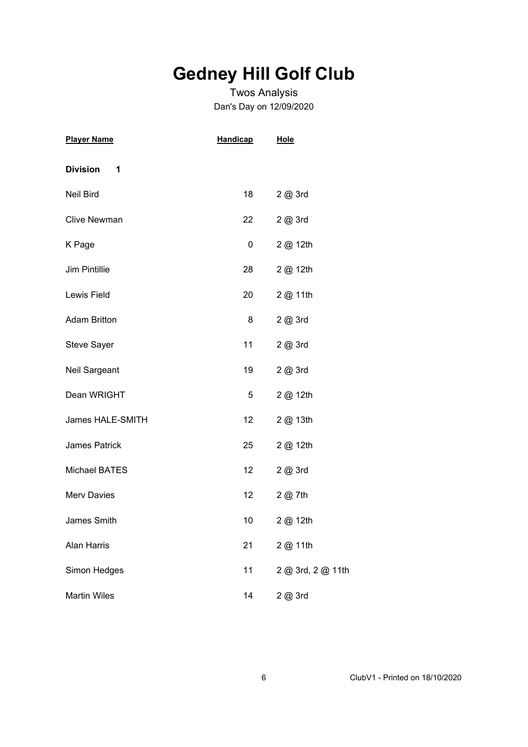# **Gedney Hill Golf Club**

# Twos Analysis Dan's Day on 12/09/2020

| <b>Player Name</b>   | <b>Handicap</b> | <b>Hole</b>       |
|----------------------|-----------------|-------------------|
| <b>Division</b><br>1 |                 |                   |
| Neil Bird            | 18              | 2 @ 3rd           |
| <b>Clive Newman</b>  | 22              | 2@3rd             |
| K Page               | 0               | 2 @ 12th          |
| <b>Jim Pintillie</b> | 28              | 2 @ 12th          |
| Lewis Field          | 20              | 2 @ 11th          |
| <b>Adam Britton</b>  | 8               | 2 @ 3rd           |
| <b>Steve Sayer</b>   | 11              | 2 @ 3rd           |
| Neil Sargeant        | 19              | 2 @ 3rd           |
| Dean WRIGHT          | 5               | 2 @ 12th          |
| James HALE-SMITH     | 12              | 2 @ 13th          |
| <b>James Patrick</b> | 25              | 2 @ 12th          |
| <b>Michael BATES</b> | 12              | 2 @ 3rd           |
| <b>Merv Davies</b>   | 12 <sub>2</sub> | 2 @ 7th           |
| James Smith          | 10              | 2 @ 12th          |
| <b>Alan Harris</b>   | 21              | 2 @ 11th          |
| Simon Hedges         | 11              | 2 @ 3rd, 2 @ 11th |
| <b>Martin Wiles</b>  | 14              | 2 @ 3rd           |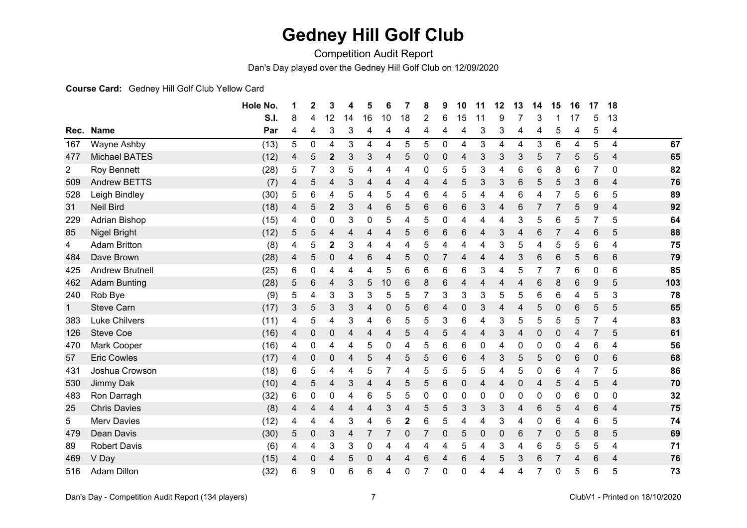# **Gedney Hill Golf Club**

Competition Audit Report

Dan's Day played over the Gedney Hill Golf Club on 12/09/2020

#### **Course Card:** Gedney Hill Golf Club Yellow Card

|                |                        | Hole No.    | 1 | 2 | 3              | 4  | 5            | 6  | 7  | 8 | 9           | 10 | 11          | 12 | 13          | 14 | 15 | 16 | 17 | 18 |     |
|----------------|------------------------|-------------|---|---|----------------|----|--------------|----|----|---|-------------|----|-------------|----|-------------|----|----|----|----|----|-----|
|                |                        | <b>S.I.</b> | 8 | 4 | 12             | 14 | 16           | 10 | 18 | 2 | 6           | 15 | 11          | 9  |             | 3  |    | 17 | 5  | 13 |     |
| Rec.           | <b>Name</b>            | Par         | 4 | 4 | 3              | 3  | 4            | 4  | 4  | 4 | 4           | 4  | 3           | 3  | 4           | 4  | 5  | 4  | 5  | 4  |     |
| 167            | Wayne Ashby            | (13)        | 5 | 0 | 4              | 3  | 4            | 4  | 5  | 5 | $\mathbf 0$ | 4  | 3           | 4  | 4           | 3  | 6  | 4  | 5  | 4  | 67  |
| 477            | <b>Michael BATES</b>   | (12)        | 4 | 5 | $\mathbf{2}$   | 3  | 3            | 4  | 5  | 0 | $\mathbf 0$ | 4  | 3           | 3  | 3           | 5  |    | 5  | 5  | 4  | 65  |
| $\overline{2}$ | <b>Roy Bennett</b>     | (28)        | 5 | 7 | 3              | 5  | 4            | 4  | 4  | 0 | 5           | 5  | 3           | 4  | 6           | 6  | 8  | 6  | 7  | 0  | 82  |
| 509            | <b>Andrew BETTS</b>    | (7)         | 4 | 5 | 4              | 3  | 4            | 4  | 4  | 4 | 4           | 5  | 3           | 3  | 6           | 5  | 5  | 3  | 6  | 4  | 76  |
| 528            | Leigh Bindley          | (30)        | 5 | 6 | 4              | 5  | 4            | 5  | 4  | 6 | 4           | 5  | 4           | 4  | 6           | 4  |    | 5  | 6  | 5  | 89  |
| 31             | <b>Neil Bird</b>       | (18)        | 4 | 5 | $\mathbf{2}$   | 3  | 4            | 6  | 5  | 6 | 6           | 6  | 3           | 4  | 6           | 7  |    | 5  | 9  | 4  | 92  |
| 229            | <b>Adrian Bishop</b>   | (15)        | 4 | 0 | 0              | 3  | 0            | 5  | 4  | 5 | 0           | 4  | 4           | 4  | 3           | 5  | 6  | 5  | 7  | 5  | 64  |
| 85             | Nigel Bright           | (12)        | 5 | 5 | 4              | 4  | 4            | 4  | 5  | 6 | 6           | 6  | 4           | 3  | 4           | 6  |    | 4  | 6  | 5  | 88  |
| 4              | <b>Adam Britton</b>    | (8)         | 4 | 5 | $\overline{2}$ | 3  | 4            | 4  | 4  | 5 | 4           | 4  | 4           | 3  | 5           | 4  | 5  | 5  | 6  | 4  | 75  |
| 484            | Dave Brown             | (28)        | 4 | 5 | 0              | 4  | 6            | 4  | 5  | 0 |             | 4  | 4           | 4  | 3           | 6  | 6  | 5  | 6  | 6  | 79  |
| 425            | <b>Andrew Brutnell</b> | (25)        | 6 | 0 | 4              | 4  | 4            | 5  | 6  | 6 | 6           | 6  | 3           | 4  | 5           | 7  |    | 6  | 0  | 6  | 85  |
| 462            | <b>Adam Bunting</b>    | (28)        | 5 | 6 | 4              | 3  | 5            | 10 | 6  | 8 | 6           | 4  | 4           | 4  | 4           | 6  | 8  | 6  | 9  | 5  | 103 |
| 240            | Rob Bye                | (9)         | 5 | 4 | 3              | 3  | 3            | 5  | 5  | 7 | 3           | 3  | 3           | 5  | 5           | 6  | 6  | 4  | 5  | 3  | 78  |
| $\mathbf 1$    | <b>Steve Carn</b>      | (17)        | 3 | 5 | 3              | 3  | 4            | 0  | 5  | 6 | 4           | 0  | 3           | 4  | 4           | 5  | 0  | 6  | 5  | 5  | 65  |
| 383            | <b>Luke Chilvers</b>   | (11)        | 4 | 5 | 4              | 3  | 4            | 6  | 5  | 5 | 3           | 6  | 4           | 3  | 5           | 5  | 5  | 5  | 7  | 4  | 83  |
| 126            | <b>Steve Coe</b>       | (16)        | 4 | 0 | 0              | 4  | 4            | 4  | 5  | 4 | 5           | 4  | 4           | 3  | 4           | 0  | 0  | 4  | 7  | 5  | 61  |
| 470            | Mark Cooper            | (16)        | 4 | 0 | 4              | 4  | 5            | 0  | 4  | 5 | 6           | 6  | 0           | 4  | 0           | 0  | 0  | 4  | 6  | 4  | 56  |
| 57             | <b>Eric Cowles</b>     | (17)        | 4 | 0 | 0              | 4  | 5            | 4  | 5  | 5 | 6           | 6  | 4           | 3  | 5           | 5  | 0  | 6  | 0  | 6  | 68  |
| 431            | Joshua Crowson         | (18)        | 6 | 5 | 4              | 4  | 5            | 7  | 4  | 5 | 5           | 5  | 5           | 4  | 5           | 0  | 6  | 4  | 7  | 5  | 86  |
| 530            | Jimmy Dak              | (10)        | 4 | 5 | 4              | 3  | 4            | 4  | 5  | 5 | $\,6$       | 0  | 4           | 4  | $\mathbf 0$ | 4  | 5  | 4  | 5  | 4  | 70  |
| 483            | Ron Darragh            | (32)        | 6 | 0 | 0              | 4  | 6            | 5  | 5  | 0 | 0           | 0  | 0           | 0  | 0           | 0  | 0  | 6  | 0  | 0  | 32  |
| 25             | <b>Chris Davies</b>    | (8)         | 4 | 4 | 4              | 4  | 4            | 3  | 4  | 5 | 5           | 3  | 3           | 3  | 4           | 6  | 5  | 4  | 6  | 4  | 75  |
| 5              | <b>Merv Davies</b>     | (12)        | 4 | 4 | 4              | 3  | 4            | 6  | 2  | 6 | 5           | 4  | 4           | 3  | 4           | 0  | 6  | 4  | 6  | 5  | 74  |
| 479            | <b>Dean Davis</b>      | (30)        | 5 | 0 | 3              | 4  |              |    | 0  | 7 | $\mathbf 0$ | 5  | $\mathbf 0$ | 0  | 6           | 7  | 0  | 5  | 8  | 5  | 69  |
| 89             | <b>Robert Davis</b>    | (6)         | 4 | 4 | 3              | 3  | $\mathbf{0}$ | 4  | 4  | 4 | 4           | 5  | 4           | 3  | 4           | 6  | 5  | 5  | 5  | 4  | 71  |
| 469            | V Day                  | (15)        | 4 | 0 | 4              | 5  | 0            |    | 4  | 6 | 4           | 6  | 4           | 5  | 3           | 6  |    | 4  | 6  | 4  | 76  |
| 516            | <b>Adam Dillon</b>     | (32)        | 6 | 9 | 0              | 6  | 6            | 4  | 0  | 7 | $\mathbf 0$ | 0  | 4           | 4  | 4           | 7  | 0  | 5  | 6  | 5  | 73  |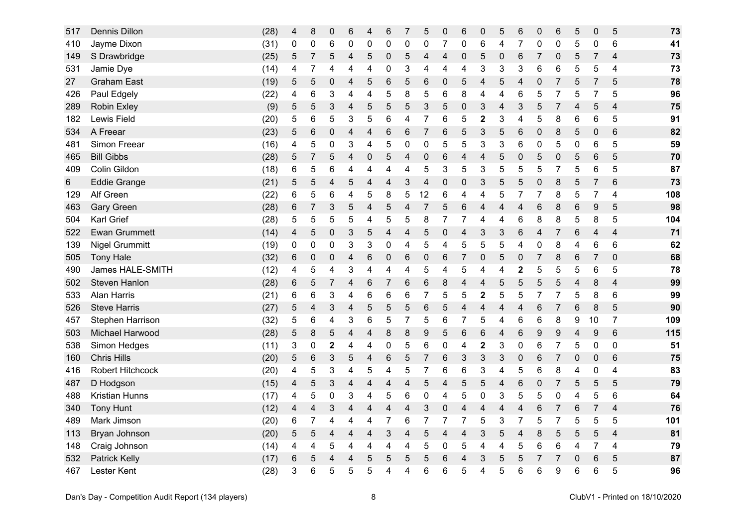| 517 | Dennis Dillon           | (28) | 4 | 8              | $\boldsymbol{0}$ | 6 | 4 | $\,6$           | 7                       | 5               | $\pmb{0}$      | 6              | 0                       | 5           | $\,6$                   | $\mathbf 0$    | 6              | 5 | $\mathbf 0$    | 5              | 73  |
|-----|-------------------------|------|---|----------------|------------------|---|---|-----------------|-------------------------|-----------------|----------------|----------------|-------------------------|-------------|-------------------------|----------------|----------------|---|----------------|----------------|-----|
| 410 | Jayme Dixon             | (31) | 0 | 0              | 6                | 0 | 0 | 0               | 0                       | 0               | $\overline{7}$ | 0              | 6                       | 4           | $\overline{7}$          | 0              | 0              | 5 | 0              | 6              | 41  |
| 149 | S Drawbridge            | (25) | 5 | $\overline{7}$ | 5                | 4 | 5 | $\mathbf 0$     | 5                       | $\overline{4}$  | 4              | $\mathbf 0$    | 5                       | $\mathbf 0$ | $6\phantom{1}$          | $\overline{7}$ | 0              | 5 | 7              | $\overline{4}$ | 73  |
| 531 | Jamie Dye               | (14) | 4 | 7              | 4                | 4 | 4 | 0               | 3                       | 4               | 4              | 4              | 3                       | 3           | 3                       | 6              | 6              | 5 | 5              | 4              | 73  |
| 27  | <b>Graham East</b>      | (19) | 5 | 5              | 0                | 4 | 5 | 6               | 5                       | 6               | 0              | 5              | 4                       | 5           | 4                       | 0              | 7              | 5 | $\overline{7}$ | 5              | 78  |
| 426 | Paul Edgely             | (22) | 4 | 6              | 3                | 4 | 4 | 5               | 8                       | 5               | 6              | 8              | 4                       | 4           | 6                       | 5              | 7              | 5 | 7              | 5              | 96  |
| 289 | <b>Robin Exley</b>      | (9)  | 5 | 5              | 3                | 4 | 5 | 5               | 5                       | 3               | 5              | $\mathbf 0$    | 3                       | 4           | 3                       | 5              | 7              | 4 | 5              | 4              | 75  |
| 182 | Lewis Field             | (20) | 5 | 6              | 5                | 3 | 5 | 6               | 4                       | $\overline{7}$  | 6              | 5              | $\overline{\mathbf{2}}$ | 3           | 4                       | 5              | 8              | 6 | 6              | 5              | 91  |
| 534 | A Freear                | (23) | 5 | 6              | 0                | 4 | 4 | $\,6$           | $6\phantom{1}6$         | 7               | 6              | 5              | 3                       | 5           | 6                       | 0              | 8              | 5 | $\pmb{0}$      | 6              | 82  |
| 481 | Simon Freear            | (16) | 4 | 5              | 0                | 3 | 4 | 5               | 0                       | 0               | 5              | 5              | 3                       | 3           | 6                       | 0              | 5              | 0 | 6              | 5              | 59  |
| 465 | <b>Bill Gibbs</b>       | (28) | 5 | 7              | 5                | 4 | 0 | 5               | $\overline{4}$          | $\mathbf 0$     | 6              | 4              | 4                       | 5           | 0                       | 5              | $\mathbf 0$    | 5 | 6              | 5              | 70  |
| 409 | Colin Gildon            | (18) | 6 | 5              | 6                | 4 | 4 | 4               | 4                       | 5               | 3              | 5              | 3                       | 5           | 5                       | 5              | $\overline{7}$ | 5 | 6              | 5              | 87  |
| 6   | <b>Eddie Grange</b>     | (21) | 5 | 5              | 4                | 5 | 4 | 4               | 3                       | 4               | $\pmb{0}$      | 0              | 3                       | 5           | 5                       | 0              | 8              | 5 | 7              | 6              | 73  |
| 129 | Alf Green               | (22) | 6 | 5              | 6                | 4 | 5 | 8               | 5                       | 12              | 6              | 4              | 4                       | 5           | 7                       | 7              | 8              | 5 | 7              | 4              | 108 |
| 463 | <b>Gary Green</b>       | (28) | 6 | 7              | 3                | 5 | 4 | $\mathbf 5$     | $\overline{\mathbf{4}}$ | $\overline{7}$  | 5              | 6              | $\overline{\mathbf{4}}$ | 4           | $\overline{\mathbf{4}}$ | 6              | 8              | 6 | 9              | 5              | 98  |
| 504 | Karl Grief              | (28) | 5 | 5              | 5                | 5 | 4 | $\mathbf 5$     | 5                       | 8               | 7              | $\overline{7}$ | 4                       | 4           | 6                       | 8              | 8              | 5 | 8              | 5              | 104 |
| 522 | <b>Ewan Grummett</b>    | (14) | 4 | 5              | $\boldsymbol{0}$ | 3 | 5 | 4               | $\overline{4}$          | 5               | 0              | 4              | 3                       | 3           | 6                       | 4              | 7              | 6 | 4              | 4              | 71  |
| 139 | <b>Nigel Grummitt</b>   | (19) | 0 | 0              | 0                | 3 | 3 | 0               | 4                       | 5               | 4              | 5              | 5                       | 5           | 4                       | $\mathbf 0$    | 8              | 4 | 6              | 6              | 62  |
| 505 | <b>Tony Hale</b>        | (32) | 6 | 0              | $\mathbf 0$      | 4 | 6 | 0               | $6\phantom{1}6$         | 0               | 6              | 7              | 0                       | 5           | 0                       | 7              | 8              | 6 | 7              | $\mathbf 0$    | 68  |
| 490 | <b>James HALE-SMITH</b> | (12) | 4 | 5              | 4                | 3 | 4 | 4               | 4                       | 5               | 4              | 5              | 4                       | 4           | $\mathbf 2$             | 5              | 5              | 5 | 6              | 5              | 78  |
| 502 | Steven Hanlon           | (28) | 6 | 5              | 7                | 4 | 6 | $\overline{7}$  | $\,6$                   | $6\phantom{1}6$ | 8              | 4              | 4                       | 5           | 5                       | 5              | 5              | 4 | 8              | 4              | 99  |
| 533 | <b>Alan Harris</b>      | (21) | 6 | 6              | 3                | 4 | 6 | 6               | 6                       | $\overline{7}$  | 5              | 5              | $\overline{\mathbf{c}}$ | 5           | 5                       | 7              | 7              | 5 | 8              | 6              | 99  |
| 526 | <b>Steve Harris</b>     | (27) | 5 | 4              | 3                | 4 | 5 | 5               | 5                       | $6\phantom{1}6$ | 5              | 4              | 4                       | 4           | 4                       | 6              | 7              | 6 | 8              | 5              | 90  |
| 457 | Stephen Harrison        | (32) | 5 | 6              | 4                | 3 | 6 | 5               | 7                       | 5               | 6              | 7              | 5                       | 4           | 6                       | 6              | 8              | 9 | 10             | 7              | 109 |
| 503 | Michael Harwood         | (28) | 5 | 8              | 5                | 4 | 4 | 8               | 8                       | 9               | 5              | 6              | $6\phantom{1}6$         | 4           | $\,6$                   | 9              | 9              | 4 | 9              | $\,6$          | 115 |
| 538 | Simon Hedges            | (11) | 3 | 0              | 2                | 4 | 4 | 0               | 5                       | 6               | 0              | 4              | $\boldsymbol{2}$        | 3           | 0                       | 6              | 7              | 5 | 0              | 0              | 51  |
| 160 | <b>Chris Hills</b>      | (20) | 5 | 6              | 3                | 5 | 4 | $6\phantom{1}6$ | 5                       | $\overline{7}$  | 6              | $\mathfrak{B}$ | 3                       | 3           | $\pmb{0}$               | 6              | $\overline{7}$ | 0 | $\mathbf 0$    | 6              | 75  |
| 416 | Robert Hitchcock        | (20) | 4 | 5              | 3                | 4 | 5 | 4               | 5                       | 7               | 6              | 6              | 3                       | 4           | 5                       | 6              | 8              | 4 | 0              | 4              | 83  |
| 487 | D Hodgson               | (15) | 4 | 5              | 3                | 4 | 4 | 4               | $\overline{4}$          | 5               | 4              | 5              | 5                       | 4           | 6                       | $\mathbf 0$    | 7              | 5 | 5              | 5              | 79  |
| 488 | Kristian Hunns          | (17) | 4 | 5              | 0                | 3 | 4 | 5               | $\,6$                   | $\mathbf 0$     | 4              | 5              | $\mathbf 0$             | 3           | 5                       | 5              | $\mathbf 0$    | 4 | 5              | 6              | 64  |
| 340 | <b>Tony Hunt</b>        | (12) | 4 | 4              | 3                | 4 | 4 | 4               | 4                       | 3               | 0              | 4              | $\overline{4}$          | 4           | 4                       | 6              | 7              | 6 | $\overline{7}$ | 4              | 76  |
| 489 | Mark Jimson             | (20) | 6 | 7              | 4                | 4 | 4 | $\overline{7}$  | $\,6$                   | $\overline{7}$  | $\overline{7}$ | $\overline{7}$ | 5                       | 3           | $\overline{7}$          | 5              | 7              | 5 | 5              | 5              | 101 |
| 113 | Bryan Johnson           | (20) | 5 | 5              | 4                | 4 | 4 | 3               | $\overline{4}$          | 5               | 4              | 4              | 3                       | 5           | 4                       | 8              | 5              | 5 | 5              | 4              | 81  |
| 148 | Craig Johnson           | (14) | 4 | 4              | 5                | 4 | 4 | 4               | 4                       | 5               | 0              | 5              | 4                       | 4           | 5                       | 6              | 6              | 4 | 7              | 4              | 79  |
| 532 | Patrick Kelly           | (17) | 6 | 5              | 4                | 4 | 5 | 5               | 5                       | 5               | 6              | $\overline{4}$ | 3                       | 5           | 5                       | 7              | 7              | 0 | 6              | 5              | 87  |
| 467 | Lester Kent             | (28) | 3 | 6              | 5                | 5 | 5 | 4               | 4                       | 6               | 6              | 5              | 4                       | 5           | 6                       | 6              | 9              | 6 | 6              | 5              | 96  |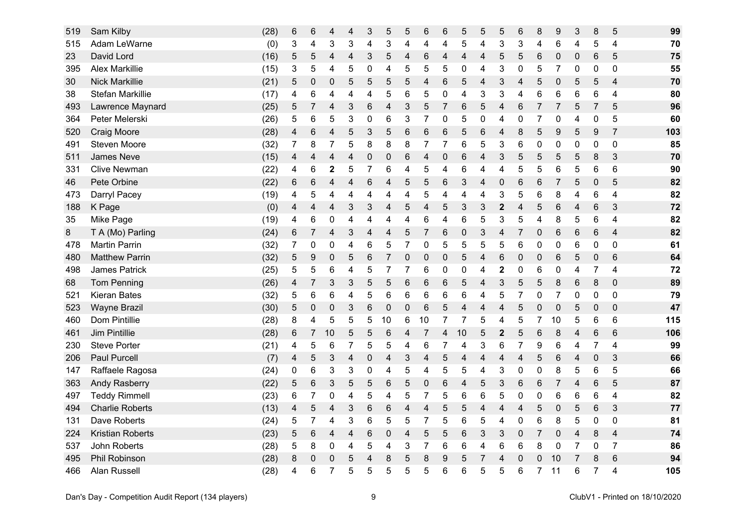| 519 | Sam Kilby               | (28) | 6 | 6                | 4                | 4 | 3              | $\sqrt{5}$     | 5              | 6              | $6\phantom{1}6$ | 5              | 5              | 5                | $\,6$                   | 8              | 9              | 3 | 8              | 5              | 99  |
|-----|-------------------------|------|---|------------------|------------------|---|----------------|----------------|----------------|----------------|-----------------|----------------|----------------|------------------|-------------------------|----------------|----------------|---|----------------|----------------|-----|
| 515 | Adam LeWarne            | (0)  | 3 | 4                | 3                | 3 | 4              | 3              | 4              | 4              | 4               | 5              | 4              | 3                | 3                       | 4              | 6              | 4 | 5              | 4              | 70  |
| 23  | David Lord              | (16) | 5 | 5                | 4                | 4 | 3              | $\overline{5}$ | $\overline{4}$ | 6              | 4               | $\overline{4}$ | 4              | 5                | 5                       | 6              | 0              | 0 | 6              | 5              | 75  |
| 395 | <b>Alex Markillie</b>   | (15) | 3 | 5                | 4                | 5 | 0              | 4              | 5              | 5              | 5               | 0              | 4              | 3                | 0                       | 5              | 7              | 0 | 0              | $\mathbf 0$    | 55  |
| 30  | <b>Nick Markillie</b>   | (21) | 5 | 0                | 0                | 5 | 5              | 5              | 5              | 4              | 6               | 5              | 4              | 3                | 4                       | 5              | $\mathbf 0$    | 5 | 5              | 4              | 70  |
| 38  | <b>Stefan Markillie</b> | (17) | 4 | 6                | 4                | 4 | 4              | 5              | $\,6$          | 5              | 0               | 4              | 3              | 3                | 4                       | 6              | 6              | 6 | 6              | 4              | 80  |
| 493 | Lawrence Maynard        | (25) | 5 | 7                | 4                | 3 | 6              | 4              | 3              | 5              | 7               | 6              | 5              | 4                | 6                       | $\overline{7}$ | $\overline{7}$ | 5 | $\overline{7}$ | 5              | 96  |
| 364 | Peter Melerski          | (26) | 5 | 6                | 5                | 3 | 0              | 6              | 3              | 7              | 0               | 5              | 0              | 4                | 0                       | 7              | 0              | 4 | 0              | 5              | 60  |
| 520 | Craig Moore             | (28) | 4 | 6                | 4                | 5 | 3              | $\sqrt{5}$     | $\,6$          | 6              | 6               | 5              | 6              | 4                | 8                       | 5              | 9              | 5 | 9              | $\overline{7}$ | 103 |
| 491 | <b>Steven Moore</b>     | (32) | 7 | 8                | 7                | 5 | 8              | 8              | 8              | 7              | $\overline{7}$  | 6              | 5              | 3                | 6                       | 0              | 0              | 0 | 0              | 0              | 85  |
| 511 | <b>James Neve</b>       | (15) | 4 | 4                | 4                | 4 | 0              | $\mathbf 0$    | $\,6$          | 4              | 0               | 6              | 4              | 3                | 5                       | 5              | 5              | 5 | 8              | 3              | 70  |
| 331 | <b>Clive Newman</b>     | (22) | 4 | 6                | $\mathbf 2$      | 5 | $\overline{7}$ | 6              | 4              | 5              | 4               | 6              | 4              | 4                | 5                       | 5              | 6              | 5 | 6              | 6              | 90  |
| 46  | Pete Orbine             | (22) | 6 | 6                | 4                | 4 | 6              | 4              | 5              | 5              | 6               | 3              | $\overline{4}$ | $\boldsymbol{0}$ | 6                       | 6              | 7              | 5 | $\mathbf 0$    | 5              | 82  |
| 473 | Darryl Pacey            | (19) | 4 | 5                | 4                | 4 | 4              | 4              | 4              | 5              | 4               | 4              | 4              | 3                | 5                       | 6              | 8              | 4 | 6              | 4              | 82  |
| 188 | K Page                  | (0)  | 4 | 4                | 4                | 3 | 3              | 4              | 5              | $\overline{4}$ | 5               | $\sqrt{3}$     | 3              | $\mathbf{2}$     | $\overline{\mathbf{4}}$ | 5              | 6              | 4 | 6              | 3              | 72  |
| 35  | Mike Page               | (19) | 4 | 6                | 0                | 4 | 4              | 4              | 4              | 6              | 4               | 6              | 5              | 3                | 5                       | 4              | 8              | 5 | 6              | 4              | 82  |
| 8   | T A (Mo) Parling        | (24) | 6 | 7                | 4                | 3 | 4              | 4              | 5              | 7              | 6               | 0              | 3              | 4                | 7                       | $\mathbf 0$    | 6              | 6 | 6              | $\overline{4}$ | 82  |
| 478 | <b>Martin Parrin</b>    | (32) | 7 | 0                | $\mathbf 0$      | 4 | 6              | $\mathbf 5$    | $\overline{7}$ | $\mathbf 0$    | 5               | 5              | 5              | 5                | 6                       | $\mathbf 0$    | $\mathbf 0$    | 6 | 0              | $\mathbf 0$    | 61  |
| 480 | <b>Matthew Parrin</b>   | (32) | 5 | 9                | $\mathbf 0$      | 5 | 6              | $\overline{7}$ | 0              | $\mathbf 0$    | 0               | 5              | $\overline{4}$ | 6                | 0                       | 0              | 6              | 5 | $\pmb{0}$      | 6              | 64  |
| 498 | <b>James Patrick</b>    | (25) | 5 | 5                | 6                | 4 | 5              | $\overline{7}$ | 7              | 6              | 0               | 0              | 4              | 2                | 0                       | 6              | 0              | 4 | 7              | 4              | 72  |
| 68  | <b>Tom Penning</b>      | (26) | 4 | 7                | 3                | 3 | 5              | 5              | $\,6$          | 6              | $\,6$           | 5              | $\overline{4}$ | 3                | 5                       | 5              | 8              | 6 | 8              | $\mathbf 0$    | 89  |
| 521 | <b>Kieran Bates</b>     | (32) | 5 | 6                | 6                | 4 | 5              | 6              | 6              | 6              | 6               | 6              | 4              | 5                | 7                       | 0              | $\overline{7}$ | 0 | 0              | 0              | 79  |
| 523 | <b>Wayne Brazil</b>     | (30) | 5 | 0                | $\boldsymbol{0}$ | 3 | 6              | $\pmb{0}$      | $\mathbf 0$    | 6              | 5               | 4              | 4              | 4                | 5                       | 0              | $\mathbf 0$    | 5 | 0              | 0              | 47  |
| 460 | Dom Pintillie           | (28) | 8 | 4                | 5                | 5 | 5              | 10             | $\,6$          | 10             | 7               | 7              | 5              | 4                | 5                       | 7              | 10             | 5 | 6              | 6              | 115 |
| 461 | Jim Pintillie           | (28) | 6 | 7                | 10               | 5 | 5              | 6              | 4              | 7              | 4               | 10             | 5              | $\mathbf{2}$     | 5                       | 6              | 8              | 4 | 6              | 6              | 106 |
| 230 | <b>Steve Porter</b>     | (21) | 4 | 5                | 6                | 7 | 5              | 5              | 4              | 6              | 7               | 4              | 3              | 6                | 7                       | 9              | 6              | 4 | 7              | $\overline{4}$ | 99  |
| 206 | <b>Paul Purcell</b>     | (7)  | 4 | 5                | 3                | 4 | $\pmb{0}$      | 4              | 3              | 4              | 5               | $\overline{4}$ | $\overline{4}$ | 4                | $\overline{\mathbf{4}}$ | 5              | 6              | 4 | $\mathbf 0$    | 3              | 66  |
| 147 | Raffaele Ragosa         | (24) | 0 | 6                | 3                | 3 | 0              | 4              | 5              | 4              | 5               | 5              | 4              | 3                | 0                       | 0              | 8              | 5 | 6              | 5              | 66  |
| 363 | <b>Andy Rasberry</b>    | (22) | 5 | 6                | 3                | 5 | 5              | $\,6$          | 5              | 0              | 6               | 4              | 5              | 3                | $\,6$                   | 6              | 7              | 4 | 6              | 5              | 87  |
| 497 | <b>Teddy Rimmell</b>    | (23) | 6 | 7                | 0                | 4 | 5              | 4              | 5              | $\overline{7}$ | 5               | 6              | 6              | 5                | 0                       | 0              | 6              | 6 | 6              | 4              | 82  |
| 494 | <b>Charlie Roberts</b>  | (13) | 4 | 5                | 4                | 3 | 6              | 6              | $\overline{4}$ | 4              | 5               | 5              | 4              | 4                | 4                       | 5              | 0              | 5 | 6              | 3              | 77  |
| 131 | Dave Roberts            | (24) | 5 | 7                | 4                | 3 | 6              | 5              | 5              | 7              | 5               | 6              | 5              | 4                | 0                       | 6              | 8              | 5 | 0              | 0              | 81  |
| 224 | <b>Kristian Roberts</b> | (23) | 5 | 6                | 4                | 4 | 6              | $\pmb{0}$      | 4              | 5              | 5               | 6              | 3              | 3                | 0                       | $\overline{7}$ | $\mathbf 0$    | 4 | 8              | 4              | 74  |
| 537 | <b>John Roberts</b>     | (28) | 5 | 8                | 0                | 4 | 5              | 4              | 3              | 7              | 6               | 6              | 4              | 6                | 6                       | 8              | 0              | 7 | 0              | 7              | 86  |
| 495 | Phil Robinson           | (28) | 8 | $\boldsymbol{0}$ | 0                | 5 | 4              | 8              | 5              | 8              | $9$             | 5              | 7              | 4                | 0                       | 0              | 10             |   | 8              | 6              | 94  |
| 466 | <b>Alan Russell</b>     | (28) | 4 | 6                | 7                | 5 | 5              | 5              | 5              | 5              | 6               | 6              | 5              | 5                | 6                       | 7              | 11             | 6 | $\overline{7}$ | 4              | 105 |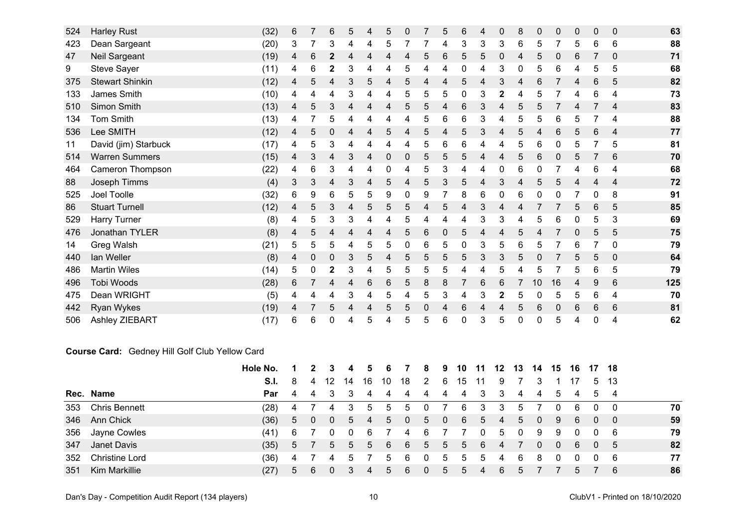| 524 | <b>Harley Rust</b>     | (32) | 6 |   | 6            | 5 | 4 | 5               | 0 |   | 5 | $6\phantom{1}6$ | 4 | $\mathbf{0}$ | 8 | $\mathbf 0$ | $\mathbf{0}$ | 0 | 0 | $\mathbf 0$    | 63  |
|-----|------------------------|------|---|---|--------------|---|---|-----------------|---|---|---|-----------------|---|--------------|---|-------------|--------------|---|---|----------------|-----|
| 423 | Dean Sargeant          | (20) | 3 |   | 3            | 4 | 4 | 5               |   |   | 4 | 3               | 3 | 3            | 6 | 5           |              | 5 | 6 | $\,6$          | 88  |
| 47  | Neil Sargeant          | (19) | 4 | 6 | $\mathbf 2$  |   | 4 | 4               | 4 | 5 | 6 | 5               | 5 | $\mathbf{0}$ | 4 | 5           |              | 6 |   | $\mathbf 0$    | 71  |
| 9   | <b>Steve Sayer</b>     | (11) | 4 | 6 | 2            | 3 | 4 | 4               | 5 | 4 | 4 | 0               | 4 | 3            | 0 | 5           | 6            | 4 | 5 | 5              | 68  |
| 375 | <b>Stewart Shinkin</b> | (12) | 4 | 5 | 4            | 3 | 5 | 4               | 5 | 4 | 4 | 5               | 4 | 3            | 4 | 6           |              |   | 6 | 5              | 82  |
| 133 | James Smith            | (10) | 4 | 4 | 4            | 3 | 4 | 4               | 5 | 5 | 5 | $\mathbf 0$     | 3 | $\mathbf 2$  | 4 | 5           |              |   | 6 | 4              | 73  |
| 510 | Simon Smith            | (13) | 4 | 5 | 3            | 4 | 4 | 4               | 5 | 5 | 4 | $6\phantom{1}6$ | 3 | 4            | 5 | 5           |              |   |   | 4              | 83  |
| 134 | <b>Tom Smith</b>       | (13) | 4 |   | 5            |   | 4 | 4               | 4 | 5 | 6 | 6               | 3 | 4            | 5 | 5           | 6            | 5 |   | 4              | 88  |
| 536 | Lee SMITH              | (12) | 4 | 5 | 0            | 4 | 4 | 5               | 4 | 5 | 4 | 5               | 3 | 4            | 5 | 4           | 6            | 5 | 6 | $\overline{4}$ | 77  |
| 11  | David (jim) Starbuck   | (17) |   | 5 | 3            | 4 | 4 | 4               | 4 | 5 | 6 | 6               | 4 | 4            | 5 | 6           | 0            |   |   | 5              | 81  |
| 514 | <b>Warren Summers</b>  | (15) | 4 | 3 | 4            | 3 | 4 | 0               | 0 | 5 | 5 | 5               | 4 | 4            | 5 | 6           | 0            | 5 |   | 6              | 70  |
| 464 | Cameron Thompson       | (22) | 4 | 6 | 3            |   |   | 0               | 4 | 5 | 3 | 4               | 4 |              | 6 | 0           |              |   | 6 | 4              | 68  |
| 88  | Joseph Timms           | (4)  | 3 | 3 | 4            | 3 | 4 | 5               | 4 | 5 | 3 | 5               | 4 | 3            | 4 | 5           | 5            |   | 4 | 4              | 72  |
| 525 | Joel Toolle            | (32) | 6 | 9 | 6            | 5 | 5 | 9               | 0 | 9 |   | 8               | 6 | 0            | 6 | 0           | 0            |   | 0 | 8              | 91  |
| 86  | <b>Stuart Turnell</b>  | (12) | 4 | 5 | 3            | 4 | 5 | 5               | 5 | 4 | 5 | 4               | 3 | 4            | 4 |             |              | 5 | 6 | 5              | 85  |
| 529 | Harry Turner           | (8)  | 4 | 5 | 3            | 3 | 4 | 4               | 5 | 4 | 4 | 4               | 3 | 3            | 4 | 5           | 6            |   | 5 | 3              | 69  |
| 476 | Jonathan TYLER         | (8)  | 4 | 5 | 4            | 4 | 4 | 4               | 5 | 6 | 0 | 5               | 4 | 4            | 5 | 4           |              |   | 5 | 5              | 75  |
| 14  | Greg Walsh             | (21) | 5 | 5 | 5            | 4 | 5 | 5               | 0 | 6 | 5 | 0               | 3 | 5            | 6 | 5           |              | 6 |   | $\mathbf 0$    | 79  |
| 440 | lan Weller             | (8)  | 4 | 0 | 0            | 3 | 5 | 4               | 5 | 5 | 5 | 5               | 3 | 3            | 5 |             |              | 5 | 5 | $\mathbf 0$    | 64  |
| 486 | <b>Martin Wiles</b>    | (14) | 5 | 0 | $\mathbf{2}$ | 3 | 4 | 5               | 5 | 5 | 5 | 4               | 4 | 5            | 4 | 5           |              | 5 | 6 | 5              | 79  |
| 496 | Tobi Woods             | (28) | 6 |   | 4            | 4 | 6 | $6\phantom{1}6$ | 5 | 8 | 8 |                 | 6 | 6            |   | 10          | 16           | 4 | 9 | 6              | 125 |
| 475 | Dean WRIGHT            | (5)  |   | 4 | 4            | 3 | 4 | 5               | 4 | 5 | 3 | 4               | 3 |              | 5 | 0           | 5            | 5 | 6 | 4              | 70  |
| 442 | Ryan Wykes             | (19) | 4 |   | 5            | 4 | 4 | 5               | 5 | 0 | 4 | 6               | 4 | 4            | 5 | 6           | 0            | 6 | 6 | 6              | 81  |
| 506 | Ashley ZIEBART         | (17) | 6 | 6 | 0            | 4 | 5 | 4               | 5 | 5 | 6 | 0               | 3 | 5            | 0 | 0           | 5            | 4 | 0 | 4              | 62  |

#### **Course Card:** Gedney Hill Golf Club Yellow Card

|     |                       | Hole No. |             |   |             | 4           | 5. | 6             |                | 8           | 9              | 10 | 11  | 12             | 13 | 14             | 15       |             | 16 17 18 |      |    |
|-----|-----------------------|----------|-------------|---|-------------|-------------|----|---------------|----------------|-------------|----------------|----|-----|----------------|----|----------------|----------|-------------|----------|------|----|
|     |                       | S.I.     | 8           | 4 |             | 14          | 16 | 10            | 18             | 2           | 6              | 15 | 11  | 9              |    |                |          |             | 5        | - 13 |    |
|     | Rec. Name             | Par      | 4           | 4 |             |             | 4  | 4             | 4              | 4           | 4              | 4  | 3   | 3              | 4  | 4              | -5       | 4           | -5       | -4   |    |
| 353 | <b>Chris Bennett</b>  | (28)     | 4           |   | 4           | 3           | -5 | $5^{\circ}$   | $\mathbf b$    | <b>U</b>    |                | 6  | 3   | 3              | ა  |                | U        | 6           | 0        | 0    | 70 |
| 346 | Ann Chick             | (36)     | 5           |   | 0           | $5^{\circ}$ | 4  | -5            | $\overline{0}$ | 5           | $\overline{0}$ | 6  | 5   | -4             | 5  | $\overline{0}$ | -9       | -6          | 0        | - 0  | 59 |
| 356 | Jayne Cowles          | (41)     | -6          |   |             | 0           | -6 |               | 4              | -6          |                |    | 0   | -5             | 0  | 9              | -9       | $\mathbf 0$ | $\Omega$ | - 6  | 79 |
| 347 | Janet Davis           | (35)     | $5^{\circ}$ |   | $5^{\circ}$ | $5^{\circ}$ | 5  | 6             | 6              | $5^{\circ}$ | 5              | 5  | - 6 | $\overline{4}$ |    | $\Omega$       | $\bf{0}$ | -6          | $\Omega$ | -5   | 82 |
| 352 | <b>Christine Lord</b> | (36)     | 4           |   |             |             |    | .5            | 6              |             | 5              |    | b   | 4              | -6 | 8              |          | 0           | $\Omega$ | - 6  | 77 |
| 351 | Kim Markillie         | (27)     |             |   |             |             |    | $\mathfrak h$ | 6              |             | 5              |    |     | 6              | 5  |                |          | 5.          |          | -6   | 86 |